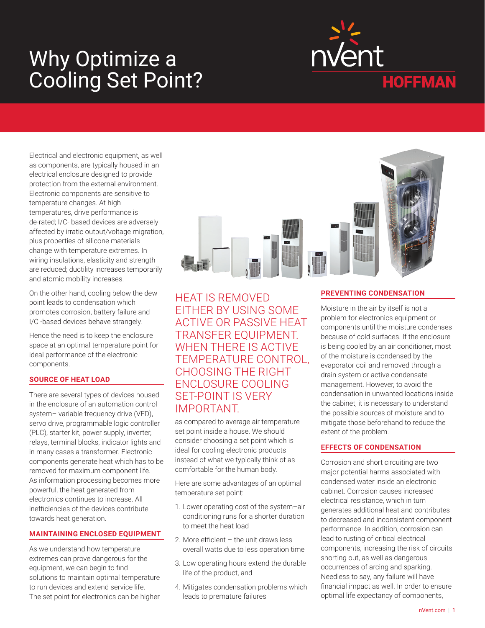# Why Optimize a Cooling Set Point?



Electrical and electronic equipment, as well as components, are typically housed in an electrical enclosure designed to provide protection from the external environment. Electronic components are sensitive to temperature changes. At high temperatures, drive performance is de-rated; I/C- based devices are adversely affected by irratic output/voltage migration, plus properties of silicone materials change with temperature extremes. In wiring insulations, elasticity and strength are reduced; ductility increases temporarily and atomic mobility increases.

On the other hand, cooling below the dew point leads to condensation which promotes corrosion, battery failure and I/C -based devices behave strangely.

Hence the need is to keep the enclosure space at an optimal temperature point for ideal performance of the electronic components.

#### **SOURCE OF HEAT LOAD**

There are several types of devices housed in the enclosure of an automation control system- variable frequency drive (VFD), servo drive, programmable logic controller (PLC), starter kit, power supply, inverter, relays, terminal blocks, indicator lights and in many cases a transformer. Electronic components generate heat which has to be removed for maximum component life. As information processing becomes more powerful, the heat generated from electronics continues to increase. All inefficiencies of the devices contribute towards heat generation.

#### **MAINTAINING ENCLOSED EQUIPMENT**

As we understand how temperature extremes can prove dangerous for the equipment, we can begin to find solutions to maintain optimal temperature to run devices and extend service life. The set point for electronics can be higher

HEAT IS REMOVED EITHER BY USING SOME ACTIVE OR PASSIVE HEAT TRANSFER EQUIPMENT. WHEN THERE IS ACTIVE TEMPERATURE CONTROL, CHOOSING THE RIGHT ENCLOSURE COOLING SET-POINT IS VERY IMPORTANT.

as compared to average air temperature set point inside a house. We should consider choosing a set point which is ideal for cooling electronic products instead of what we typically think of as comfortable for the human body.

Here are some advantages of an optimal temperature set point:

- 1. Lower operating cost of the system–air conditioning runs for a shorter duration to meet the heat load
- 2. More efficient the unit draws less overall watts due to less operation time
- 3. Low operating hours extend the durable life of the product, and
- 4. Mitigates condensation problems which leads to premature failures

## **PREVENTING CONDENSATION**

Moisture in the air by itself is not a problem for electronics equipment or components until the moisture condenses because of cold surfaces. If the enclosure is being cooled by an air conditioner, most of the moisture is condensed by the evaporator coil and removed through a drain system or active condensate management. However, to avoid the condensation in unwanted locations inside the cabinet, it is necessary to understand the possible sources of moisture and to mitigate those beforehand to reduce the extent of the problem.

#### **EFFECTS OF CONDENSATION**

Corrosion and short circuiting are two major potential harms associated with condensed water inside an electronic cabinet. Corrosion causes increased electrical resistance, which in turn generates additional heat and contributes to decreased and inconsistent component performance. In addition, corrosion can lead to rusting of critical electrical components, increasing the risk of circuits shorting out, as well as dangerous occurrences of arcing and sparking. Needless to say, any failure will have financial impact as well. In order to ensure optimal life expectancy of components,